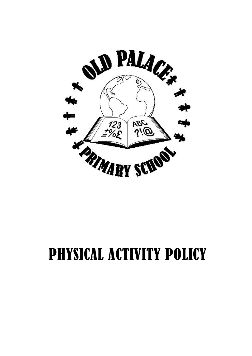

# PHYSICAL ACTIVITY POLICY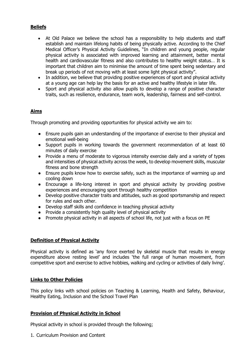# **Beliefs**

- At Old Palace we believe the school has a responsibility to help students and staff establish and maintain lifelong habits of being physically active. According to the Chief Medical Officer's Physical Activity Guidelines, "In children and young people, regular physical activity is associated with improved learning and attainment, better mental health and cardiovascular fitness and also contributes to healthy weight status… It is important that children aim to minimise the amount of time spent being sedentary and break up periods of not moving with at least some light physical activity".
- In addition, we believe that providing positive experiences of sport and physical activity at a young age can help lay the basis for an active and healthy lifestyle in later life.
- Sport and physical activity also allow pupils to develop a range of positive character traits, such as resilience, endurance, team work, leadership, fairness and self-control.

## **Aims**

Through promoting and providing opportunities for physical activity we aim to:

- Ensure pupils gain an understanding of the importance of exercise to their physical and emotional well-being
- Support pupils in working towards the government recommendation of at least 60 minutes of daily exercise
- Provide a menu of moderate to vigorous intensity exercise daily and a variety of types and intensities of physical activity across the week, to develop movement skills, muscular fitness and bone strength
- Ensure pupils know how to exercise safely, such as the importance of warming up and cooling down
- Encourage a life-long interest in sport and physical activity by providing positive experiences and encouraging sport through healthy competition
- Develop positive character traits and attitudes, such as good sportsmanship and respect for rules and each other.
- Develop staff skills and confidence in teaching physical activity
- Provide a consistently high quality level of physical activity
- Promote physical activity in all aspects of school life, not just with a focus on PE

## **Definition of Physical Activity**

Physical activity is defined as 'any force exerted by skeletal muscle that results in energy expenditure above resting level' and includes 'the full range of human movement, from competitive sport and exercise to active hobbies, walking and cycling or activities of daily living'.

#### **Links to Other Policies**

This policy links with school policies on Teaching & Learning, Health and Safety, Behaviour, Healthy Eating, Inclusion and the School Travel Plan

## **Provision of Physical Activity in School**

Physical activity in school is provided through the following;

1. Curriculum Provision and Content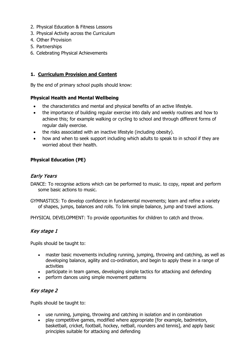- 2. Physical Education & Fitness Lessons
- 3. Physical Activity across the Curriculum
- 4. Other Provision
- 5. Partnerships
- 6. Celebrating Physical Achievements

# **1. Curriculum Provision and Content**

By the end of primary school pupils should know:

## **Physical Health and Mental Wellbeing**

- the characteristics and mental and physical benefits of an active lifestyle.
- the importance of building regular exercise into daily and weekly routines and how to achieve this; for example walking or cycling to school and through different forms of regular daily exercise.
- the risks associated with an inactive lifestyle (including obesity).
- how and when to seek support including which adults to speak to in school if they are worried about their health.

## **Physical Education (PE)**

# Early Years

DANCE: To recognise actions which can be performed to music. to copy, repeat and perform some basic actions to music.

GYMNASTICS: To develop confidence in fundamental movements; learn and refine a variety of shapes, jumps, balances and rolls. To link simple balance, jump and travel actions.

PHYSICAL DEVELOPMENT: To provide opportunities for children to catch and throw.

# Key stage 1

Pupils should be taught to:

- master basic movements including running, jumping, throwing and catching, as well as developing balance, agility and co-ordination, and begin to apply these in a range of activities
- participate in team games, developing simple tactics for attacking and defending
- perform dances using simple movement patterns

# Key stage 2

Pupils should be taught to:

- use running, jumping, throwing and catching in isolation and in combination
- play competitive games, modified where appropriate [for example, badminton, basketball, cricket, football, hockey, netball, rounders and tennis], and apply basic principles suitable for attacking and defending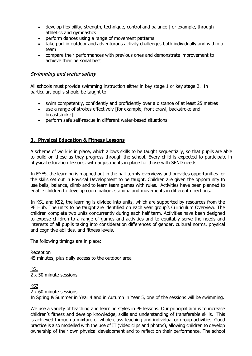- develop flexibility, strength, technique, control and balance [for example, through athletics and gymnastics]
- perform dances using a range of movement patterns
- take part in outdoor and adventurous activity challenges both individually and within a team
- compare their performances with previous ones and demonstrate improvement to achieve their personal best

## Swimming and water safety

All schools must provide swimming instruction either in key stage 1 or key stage 2. In particular, pupils should be taught to:

- swim competently, confidently and proficiently over a distance of at least 25 metres
- use a range of strokes effectively [for example, front crawl, backstroke and breaststroke]
- perform safe self-rescue in different water-based situations

## **3. Physical Education & Fitness Lessons**

A scheme of work is in place, which allows skills to be taught sequentially, so that pupils are able to build on these as they progress through the school. Every child is expected to participate in physical education lessons, with adjustments in place for those with SEND needs.

In EYFS, the learning is mapped out in the half termly overviews and provides opportunities for the skills set out in Physical Development to be taught. Children are given the opportunity to use balls, balance, climb and to learn team games with rules. Activities have been planned to enable children to develop coordination, stamina and movements in different directions.

In KS1 and KS2, the learning is divided into units, which are supported by resources from the PE Hub. The units to be taught are identified on each year group's Curriculum Overview. The children complete two units concurrently during each half term. Activities have been designed to expose children to a range of games and activities and to equitably serve the needs and interests of all pupils taking into consideration differences of gender, cultural norms, physical and cognitive abilities, and fitness levels.

The following timings are in place:

**Reception** 45 minutes, plus daily access to the outdoor area

KS1 2 x 50 minute sessions.

KS2

2 x 60 minute sessions.

In Spring & Summer in Year 4 and in Autumn in Year 5, one of the sessions will be swimming.

We use a variety of teaching and learning styles in PE lessons. Our principal aim is to increase children's fitness and develop knowledge, skills and understanding of transferable skills. This is achieved through a mixture of whole-class teaching and individual or group activities. Good practice is also modelled with the use of IT (video clips and photos), allowing children to develop ownership of their own physical development and to reflect on their performance. The school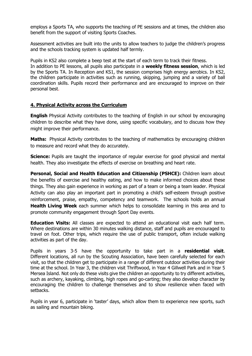employs a Sports TA, who supports the teaching of PE sessions and at times, the children also benefit from the support of visiting Sports Coaches.

Assessment activities are built into the units to allow teachers to judge the children's progress and the schools tracking system is updated half termly.

Pupils in KS2 also complete a beep test at the start of each term to track their fitness. In addition to PE lessons, all pupils also participate in a **weekly fitness session**, which is led by the Sports TA. In Reception and KS1, the session comprises high energy aerobics. In KS2, the children participate in activities such as running, skipping, jumping and a variety of ball coordination skills. Pupils record their performance and are encouraged to improve on their personal best.

#### **4. Physical Activity across the Curriculum**

**English** Physical Activity contributes to the teaching of English in our school by encouraging children to describe what they have done, using specific vocabulary, and to discuss how they might improve their performance.

**Maths:** Physical Activity contributes to the teaching of mathematics by encouraging children to measure and record what they do accurately.

**Science:** Pupils are taught the importance of regular exercise for good physical and mental health. They also investigate the effects of exercise on breathing and heart rate.

**Personal, Social and Health Education and Citizenship (PSHCE):** Children learn about the benefits of exercise and healthy eating, and how to make informed choices about these things. They also gain experience in working as part of a team or being a team leader. Physical Activity can also play an important part in promoting a child's self-esteem through positive reinforcement, praise, empathy, competency and teamwork. The schools holds an annual **Health Living Week** each summer which helps to consolidate learning in this area and to promote community engagement through Sport Day events.

**Education Visits:** All classes are expected to attend an educational visit each half term. Where destinations are within 30 minutes walking distance, staff and pupils are encouraged to travel on foot. Other trips, which require the use of public transport, often include walking activities as part of the day.

Pupils in years 3-5 have the opportunity to take part in a **residential visit**. Different locations, all run by the Scouting Association, have been carefully selected for each visit, so that the children get to participate in a range of different outdoor activities during their time at the school. In Year 3, the children visit Thriftwood, in Year 4 Gillwell Park and in Year 5 Mersea Island. Not only do these visits give the children an opportunity to try different activities, such as archery, kayaking, climbing, high ropes and go-carting; they also develop character by encouraging the children to challenge themselves and to show resilience when faced with setbacks.

Pupils in year 6, participate in 'taster' days, which allow them to experience new sports, such as sailing and mountain biking.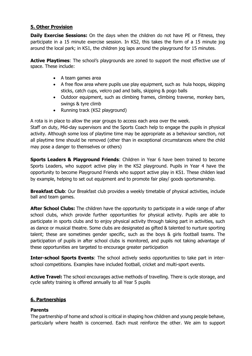## **5. Other Provision**

**Daily Exercise Sessions:** On the days when the children do not have PE or Fitness, they participate in a 15 minute exercise session. In KS2, this takes the form of a 15 minute jog around the local park; in KS1, the children jog laps around the playground for 15 minutes.

Active Playtimes: The school's playgrounds are zoned to support the most effective use of space. These include:

- A team games area
- A free flow area where pupils use play equipment, such as hula hoops, skipping sticks, catch cups, velcro pad and balls, skipping & pogo balls
- Outdoor equipment, such as climbing frames, climbing traverse, monkey bars, swings & tyre climb
- Running track (KS2 playground)

A rota is in place to allow the year groups to access each area over the week.

Staff on duty, Mid-day supervisors and the Sports Coach help to engage the pupils in physical activity. Although some loss of playtime time may be appropriate as a behaviour sanction, not all playtime time should be removed (other than in exceptional circumstances where the child may pose a danger to themselves or others)

**Sports Leaders & Playground Friends:** Children in Year 6 have been trained to become Sports Leaders, who support active play in the KS2 playground. Pupils in Year 4 have the opportunity to become Playground Friends who support active play in KS1. These childen lead by example, helping to set out equipment and to promote fair play/ goods sportsmanship.

**Breakfast Club**: Our Breakfast club provides a weekly timetable of physical activities, include ball and team games.

**After School Clubs:** The children have the opportunity to participate in a wide range of after school clubs, which provide further opportunities for physical activity. Pupils are able to participate in sports clubs and to enjoy physical activity through taking part in activities, such as dance or musical theatre. Some clubs are designated as gifted & talented to nurture sporting talent; these are sometimes gender specific, such as the boys & girls football teams. The participation of pupils in after school clubs is monitored, and pupils not taking advantage of these opportunities are targeted to encourage greater participation

**Inter-school Sports Events**: The school actively seeks opportunities to take part in interschool competitions. Examples have included football, cricket and multi-sport events.

**Active Travel:** The school encourages active methods of travelling. There is cycle storage, and cycle safety training is offered annually to all Year 5 pupils

# **6. Partnerships**

# **Parents**

The partnership of home and school is critical in shaping how children and young people behave, particularly where health is concerned. Each must reinforce the other. We aim to support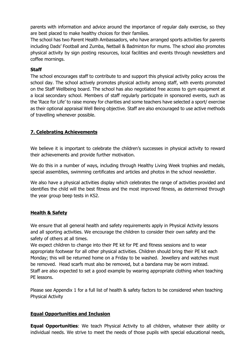parents with information and advice around the importance of regular daily exercise, so they are best placed to make healthy choices for their families.

The school has two Parent Health Ambassadors, who have arranged sports activities for parents including Dads' Football and Zumba, Netball & Badminton for mums. The school also promotes physical activity by sign posting resources, local facilities and events through newsletters and coffee mornings.

## **Staff**

The school encourages staff to contribute to and support this physical activity policy across the school day. The school actively promotes physical activity among staff, with events promoted on the Staff Wellbeing board. The school has also negotiated free access to gym equipment at a local secondary school. Members of staff regularly participate in sponsored events, such as the 'Race for Life' to raise money for charities and some teachers have selected a sport/ exercise as their optional appraisal Well Being objective. Staff are also encouraged to use active methods of travelling whenever possible.

# **7. Celebrating Achievements**

We believe it is important to celebrate the children's successes in physical activity to reward their achievements and provide further motivation.

We do this in a number of ways, including through Healthy Living Week trophies and medals, special assemblies, swimming certificates and articles and photos in the school newsletter.

We also have a physical activities display which celebrates the range of activities provided and identifies the child will the best fitness and the most improved fitness, as determined through the year group beep tests in KS2.

## **Health & Safety**

We ensure that all general health and safety requirements apply in Physical Activity lessons and all sporting activities. We encourage the children to consider their own safety and the safety of others at all times.

We expect children to change into their PE kit for PE and fitness sessions and to wear appropriate footwear for all other physical activities. Children should bring their PE kit each Monday; this will be returned home on a Friday to be washed. Jewellery and watches must be removed. Head scarfs must also be removed, but a bandana may be worn instead. Staff are also expected to set a good example by wearing appropriate clothing when teaching PE lessons.

Please see Appendix 1 for a full list of health & safety factors to be considered when teaching Physical Activity

## **Equal Opportunities and Inclusion**

**Equal Opportunities**: We teach Physical Activity to all children, whatever their ability or individual needs. We strive to meet the needs of those pupils with special educational needs,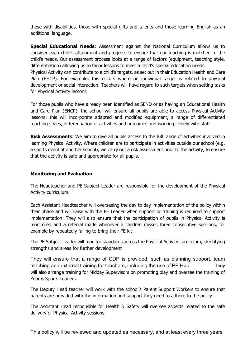those with disabilities, those with special gifts and talents and those learning English as an additional language.

**Special Educational Needs**: Assessment against the National Curriculum allows us to consider each child's attainment and progress to ensure that our teaching is matched to the child's needs. Our assessment process looks at a range of factors (equipment, teaching style, differentiation) allowing us to tailor lessons to meet a child's special education needs. Physical Activity can contribute to a child's targets, as set out in their Education Health and Care Plan (EHCP). For example, this occurs where an individual target is related to physical development or social interaction. Teachers will have regard to such targets when setting tasks for Physical Activity lessons.

For those pupils who have already been identified as SEND or as having an Educational Health and Care Plan (EHCP), the school will ensure all pupils are able to access Physical Activity lessons; this will incorporate adapted and modified equipment, a range of differentiated teaching styles, differentiation of activities and outcomes and working closely with staff.

**Risk Assessments:** We aim to give all pupils access to the full range of activities involved in learning Physical Activity. Where children are to participate in activities outside our school (e.g. a sports event at another school), we carry out a risk assessment prior to the activity, to ensure that the activity is safe and appropriate for all pupils.

## **Monitoring and Evaluation**

The Headteacher and PE Subject Leader are responsible for the development of the Physical Activity curriculum.

Each Assistant Headteacher will overseeing the day to day implementation of the policy within their phase and will liaise with the PE Leader when support or training is required to support implementation. They will also ensure that the participation of pupils in Physical Activity is monitored and a referral made whenever a children misses three consecutive sessions, for example by repeatedly failing to bring their PE kit

The PE Subject Leader will monitor standards across the Physical Activity curriculum, identifying strengths and areas for further development

They will ensure that a range of CDP is provided, such as planning support, team teaching and external training for teachers, including the use of PE Hub. They will also arrange training for Midday Supervisors on promoting play and oversee the training of Year 6 Sports Leaders.

The Deputy Head teacher will work with the school's Parent Support Workers to ensure that parents are provided with the information and support they need to adhere to the policy

The Assistant Head responsible for Health & Safety will oversee aspects related to the safe delivery of Physical Activity sessions.

This policy will be reviewed and updated as necessary, and at least every three years